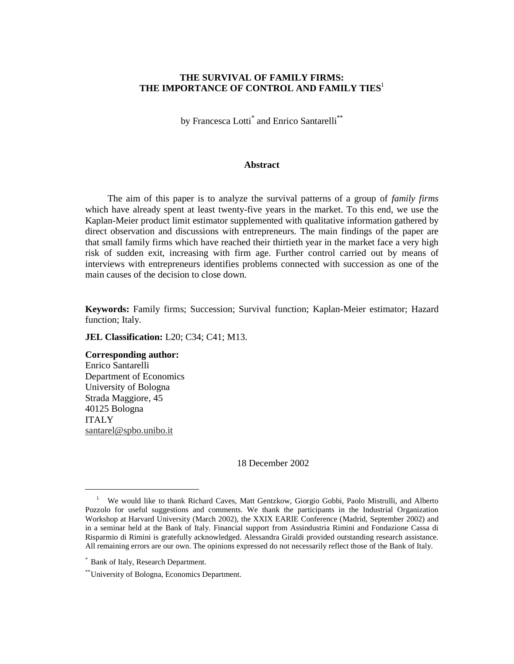## **THE SURVIVAL OF FAMILY FIRMS: THE IMPORTANCE OF CONTROL AND FAMILY TIES**<sup>1</sup>

by Francesca Lotti<sup>\*</sup> and Enrico Santarelli<sup>\*\*</sup>

### **Abstract**

The aim of this paper is to analyze the survival patterns of a group of *family firms* which have already spent at least twenty-five years in the market. To this end, we use the Kaplan-Meier product limit estimator supplemented with qualitative information gathered by direct observation and discussions with entrepreneurs. The main findings of the paper are that small family firms which have reached their thirtieth year in the market face a very high risk of sudden exit, increasing with firm age. Further control carried out by means of interviews with entrepreneurs identifies problems connected with succession as one of the main causes of the decision to close down.

**Keywords:** Family firms; Succession; Survival function; Kaplan-Meier estimator; Hazard function; Italy.

**JEL Classification:** L20; C34; C41; M13.

# **Corresponding author:**

Enrico Santarelli Department of Economics University of Bologna Strada Maggiore, 45 40125 Bologna ITALY santarel@spbo.unibo.it

-

18 December 2002

<sup>1</sup> We would like to thank Richard Caves, Matt Gentzkow, Giorgio Gobbi, Paolo Mistrulli, and Alberto Pozzolo for useful suggestions and comments. We thank the participants in the Industrial Organization Workshop at Harvard University (March 2002), the XXIX EARIE Conference (Madrid, September 2002) and in a seminar held at the Bank of Italy. Financial support from Assindustria Rimini and Fondazione Cassa di Risparmio di Rimini is gratefully acknowledged. Alessandra Giraldi provided outstanding research assistance. All remaining errors are our own. The opinions expressed do not necessarily reflect those of the Bank of Italy.

<sup>\*</sup> Bank of Italy, Research Department.

<sup>\*\*</sup> University of Bologna, Economics Department.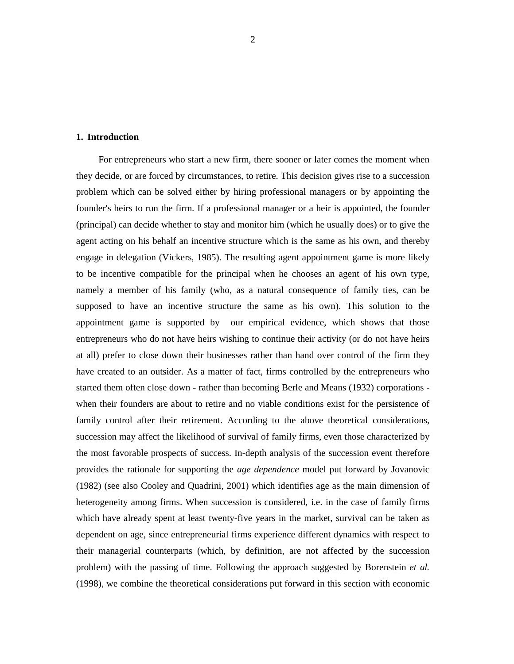#### **1. Introduction**

For entrepreneurs who start a new firm, there sooner or later comes the moment when they decide, or are forced by circumstances, to retire. This decision gives rise to a succession problem which can be solved either by hiring professional managers or by appointing the founder's heirs to run the firm. If a professional manager or a heir is appointed, the founder (principal) can decide whether to stay and monitor him (which he usually does) or to give the agent acting on his behalf an incentive structure which is the same as his own, and thereby engage in delegation (Vickers, 1985). The resulting agent appointment game is more likely to be incentive compatible for the principal when he chooses an agent of his own type, namely a member of his family (who, as a natural consequence of family ties, can be supposed to have an incentive structure the same as his own). This solution to the appointment game is supported by our empirical evidence, which shows that those entrepreneurs who do not have heirs wishing to continue their activity (or do not have heirs at all) prefer to close down their businesses rather than hand over control of the firm they have created to an outsider. As a matter of fact, firms controlled by the entrepreneurs who started them often close down - rather than becoming Berle and Means (1932) corporations when their founders are about to retire and no viable conditions exist for the persistence of family control after their retirement. According to the above theoretical considerations, succession may affect the likelihood of survival of family firms, even those characterized by the most favorable prospects of success. In-depth analysis of the succession event therefore provides the rationale for supporting the *age dependence* model put forward by Jovanovic (1982) (see also Cooley and Quadrini, 2001) which identifies age as the main dimension of heterogeneity among firms. When succession is considered, i.e. in the case of family firms which have already spent at least twenty-five years in the market, survival can be taken as dependent on age, since entrepreneurial firms experience different dynamics with respect to their managerial counterparts (which, by definition, are not affected by the succession problem) with the passing of time. Following the approach suggested by Borenstein *et al.* (1998), we combine the theoretical considerations put forward in this section with economic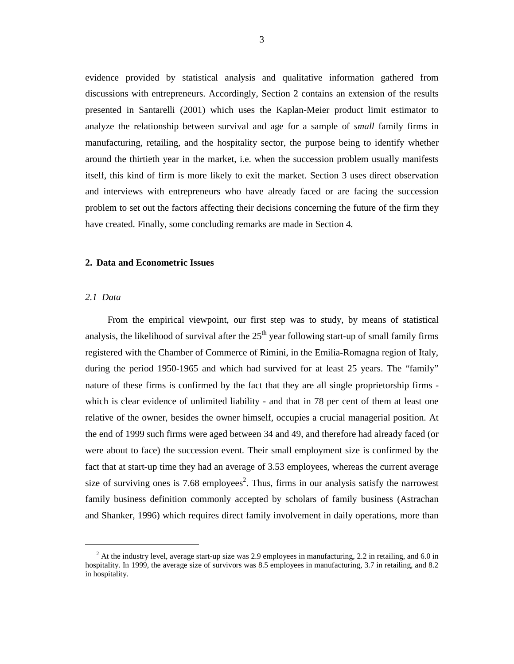evidence provided by statistical analysis and qualitative information gathered from discussions with entrepreneurs. Accordingly, Section 2 contains an extension of the results presented in Santarelli (2001) which uses the Kaplan-Meier product limit estimator to analyze the relationship between survival and age for a sample of *small* family firms in manufacturing, retailing, and the hospitality sector, the purpose being to identify whether around the thirtieth year in the market, i.e. when the succession problem usually manifests itself, this kind of firm is more likely to exit the market. Section 3 uses direct observation and interviews with entrepreneurs who have already faced or are facing the succession problem to set out the factors affecting their decisions concerning the future of the firm they have created. Finally, some concluding remarks are made in Section 4.

### **2. Data and Econometric Issues**

## *2.1 Data*

-

From the empirical viewpoint, our first step was to study, by means of statistical analysis, the likelihood of survival after the  $25<sup>th</sup>$  year following start-up of small family firms registered with the Chamber of Commerce of Rimini, in the Emilia-Romagna region of Italy, during the period 1950-1965 and which had survived for at least 25 years. The "family" nature of these firms is confirmed by the fact that they are all single proprietorship firms which is clear evidence of unlimited liability - and that in 78 per cent of them at least one relative of the owner, besides the owner himself, occupies a crucial managerial position. At the end of 1999 such firms were aged between 34 and 49, and therefore had already faced (or were about to face) the succession event. Their small employment size is confirmed by the fact that at start-up time they had an average of 3.53 employees, whereas the current average size of surviving ones is 7.68 employees<sup>2</sup>. Thus, firms in our analysis satisfy the narrowest family business definition commonly accepted by scholars of family business (Astrachan and Shanker, 1996) which requires direct family involvement in daily operations, more than

 $2<sup>2</sup>$  At the industry level, average start-up size was 2.9 employees in manufacturing, 2.2 in retailing, and 6.0 in hospitality. In 1999, the average size of survivors was 8.5 employees in manufacturing, 3.7 in retailing, and 8.2 in hospitality.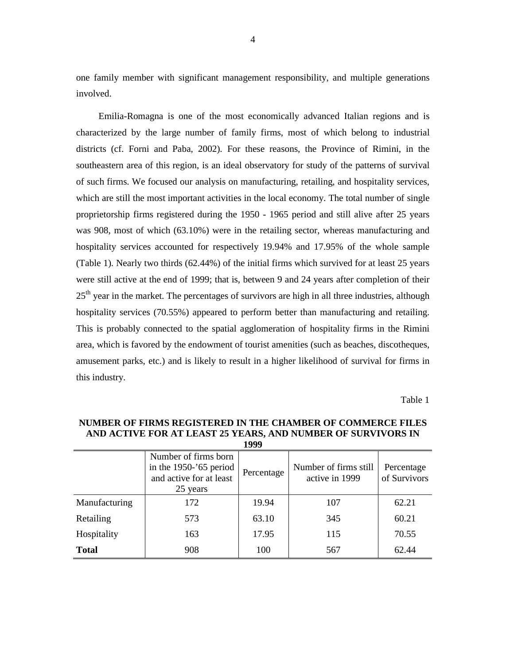one family member with significant management responsibility, and multiple generations involved.

Emilia-Romagna is one of the most economically advanced Italian regions and is characterized by the large number of family firms, most of which belong to industrial districts (cf. Forni and Paba, 2002). For these reasons, the Province of Rimini, in the southeastern area of this region, is an ideal observatory for study of the patterns of survival of such firms. We focused our analysis on manufacturing, retailing, and hospitality services, which are still the most important activities in the local economy. The total number of single proprietorship firms registered during the 1950 - 1965 period and still alive after 25 years was 908, most of which (63.10%) were in the retailing sector, whereas manufacturing and hospitality services accounted for respectively 19.94% and 17.95% of the whole sample (Table 1). Nearly two thirds (62.44%) of the initial firms which survived for at least 25 years were still active at the end of 1999; that is, between 9 and 24 years after completion of their  $25<sup>th</sup>$  year in the market. The percentages of survivors are high in all three industries, although hospitality services (70.55%) appeared to perform better than manufacturing and retailing. This is probably connected to the spatial agglomeration of hospitality firms in the Rimini area, which is favored by the endowment of tourist amenities (such as beaches, discotheques, amusement parks, etc.) and is likely to result in a higher likelihood of survival for firms in this industry.

Table 1

| 1999          |                                                                                          |            |                                         |                            |  |  |
|---------------|------------------------------------------------------------------------------------------|------------|-----------------------------------------|----------------------------|--|--|
|               | Number of firms born<br>in the $1950 - 65$ period<br>and active for at least<br>25 years | Percentage | Number of firms still<br>active in 1999 | Percentage<br>of Survivors |  |  |
| Manufacturing | 172                                                                                      | 19.94      | 107                                     | 62.21                      |  |  |
| Retailing     | 573                                                                                      | 63.10      | 345                                     | 60.21                      |  |  |
| Hospitality   | 163                                                                                      | 17.95      | 115                                     | 70.55                      |  |  |
| <b>Total</b>  | 908                                                                                      | 100        | 567                                     | 62.44                      |  |  |

**NUMBER OF FIRMS REGISTERED IN THE CHAMBER OF COMMERCE FILES AND ACTIVE FOR AT LEAST 25 YEARS, AND NUMBER OF SURVIVORS IN**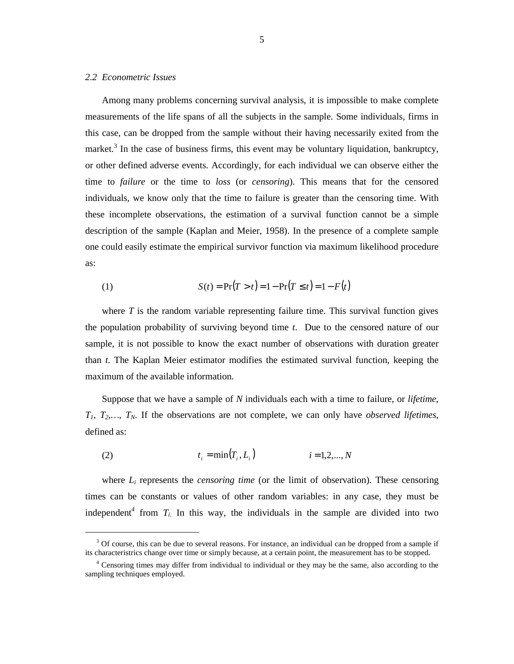## *2.2 Econometric Issues*

-

Among many problems concerning survival analysis, it is impossible to make complete measurements of the life spans of all the subjects in the sample. Some individuals, firms in this case, can be dropped from the sample without their having necessarily exited from the market.<sup>3</sup> In the case of business firms, this event may be voluntary liquidation, bankruptcy, or other defined adverse events. Accordingly, for each individual we can observe either the time to *failure* or the time to *loss* (or *censoring*). This means that for the censored individuals, we know only that the time to failure is greater than the censoring time. With these incomplete observations, the estimation of a survival function cannot be a simple description of the sample (Kaplan and Meier, 1958). In the presence of a complete sample one could easily estimate the empirical survivor function via maximum likelihood procedure as:

(1) 
$$
S(t) = Pr(T > t) = 1 - Pr(T \le t) = 1 - F(t)
$$

where *T* is the random variable representing failure time. This survival function gives the population probability of surviving beyond time *t*. Due to the censored nature of our sample, it is not possible to know the exact number of observations with duration greater than *t*. The Kaplan Meier estimator modifies the estimated survival function, keeping the maximum of the available information.

Suppose that we have a sample of *N* individuals each with a time to failure, or *lifetime*, *T1, T2,…, TN*. If the observations are not complete, we can only have *observed lifetimes*, defined as:

(2) 
$$
t_i = \min(T_i, L_i)
$$
  $i = 1, 2, ..., N$ 

where *Li* represents the *censoring time* (or the limit of observation). These censoring times can be constants or values of other random variables: in any case, they must be independent<sup>4</sup> from  $T_i$ . In this way, the individuals in the sample are divided into two

<sup>&</sup>lt;sup>3</sup> Of course, this can be due to several reasons. For instance, an individual can be dropped from a sample if its characteristrics change over time or simply because, at a certain point, the measurement has to be stopped.

<sup>&</sup>lt;sup>4</sup> Censoring times may differ from individual to individual or they may be the same, also according to the sampling techniques employed.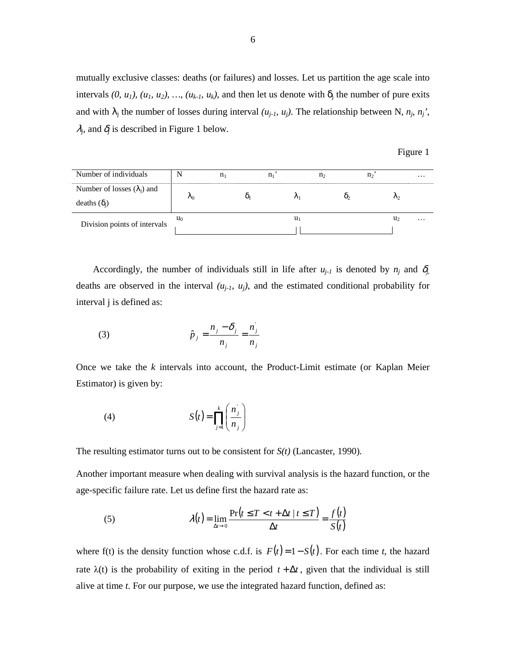mutually exclusive classes: deaths (or failures) and losses. Let us partition the age scale into intervals  $(0, u_1)$ ,  $(u_1, u_2)$ , ...,  $(u_{k-1}, u_k)$ , and then let us denote with  $\delta_j$  the number of pure exits and with  $\lambda_i$  the number of losses during interval  $(u_{i-1}, u_i)$ . The relationship between N,  $n_i$ ,  $n_j'$ ,  $\lambda_i$ , and  $\delta_i$  is described in Figure 1 below.

| 1 T I<br>U |  |
|------------|--|
|            |  |

| Number of individuals              |         |   |  | $\cdots$ |
|------------------------------------|---------|---|--|----------|
| Number of losses $(\lambda_i)$ and |         |   |  |          |
| deaths $(\delta_i)$                | $n_{0}$ |   |  |          |
|                                    | $u_0$   | u |  | $\cdots$ |
| Division points of intervals       |         |   |  |          |

Accordingly, the number of individuals still in life after  $u_{j-1}$  is denoted by  $n_j$  and  $\delta_j$ , deaths are observed in the interval  $(u_{j-l}, u_j)$ , and the estimated conditional probability for interval j is defined as:

(3) 
$$
\hat{p}_j = \frac{n_j - \delta_j}{n_j} = \frac{n_j}{n_j}
$$

Once we take the *k* intervals into account, the Product-Limit estimate (or Kaplan Meier Estimator) is given by:

(4) 
$$
S(t) = \prod_{j=1}^{k} \left( \frac{n_j}{n_j} \right)
$$

The resulting estimator turns out to be consistent for *S(t)* (Lancaster, 1990).

Another important measure when dealing with survival analysis is the hazard function, or the age-specific failure rate. Let us define first the hazard rate as:

(5) 
$$
\lambda(t) = \lim_{\Delta t \to 0} \frac{\Pr(t \le T < t + \Delta t | t \le T)}{\Delta t} = \frac{f(t)}{S(t)}
$$

where f(t) is the density function whose c.d.f. is  $F(t) = 1 - S(t)$ . For each time t, the hazard rate  $\lambda(t)$  is the probability of exiting in the period  $t + \Delta t$ , given that the individual is still alive at time *t*. For our purpose, we use the integrated hazard function, defined as: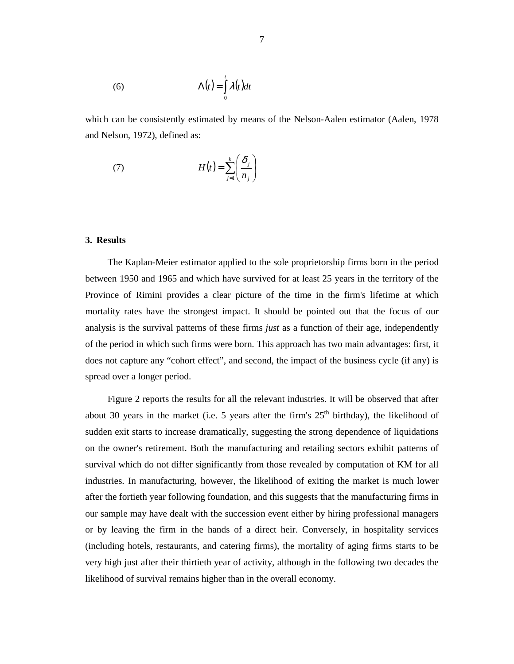(6) 
$$
\Lambda(t) = \int_{0}^{t} \lambda(t) dt
$$

which can be consistently estimated by means of the Nelson-Aalen estimator (Aalen, 1978 and Nelson, 1972), defined as:

(7) 
$$
H(t) = \sum_{j=1}^{k} \left( \frac{\delta_j}{n_j} \right)
$$

## **3. Results**

The Kaplan-Meier estimator applied to the sole proprietorship firms born in the period between 1950 and 1965 and which have survived for at least 25 years in the territory of the Province of Rimini provides a clear picture of the time in the firm's lifetime at which mortality rates have the strongest impact. It should be pointed out that the focus of our analysis is the survival patterns of these firms *just* as a function of their age, independently of the period in which such firms were born. This approach has two main advantages: first, it does not capture any "cohort effect", and second, the impact of the business cycle (if any) is spread over a longer period.

Figure 2 reports the results for all the relevant industries. It will be observed that after about 30 years in the market (i.e. 5 years after the firm's  $25<sup>th</sup>$  birthday), the likelihood of sudden exit starts to increase dramatically, suggesting the strong dependence of liquidations on the owner's retirement. Both the manufacturing and retailing sectors exhibit patterns of survival which do not differ significantly from those revealed by computation of KM for all industries. In manufacturing, however, the likelihood of exiting the market is much lower after the fortieth year following foundation, and this suggests that the manufacturing firms in our sample may have dealt with the succession event either by hiring professional managers or by leaving the firm in the hands of a direct heir. Conversely, in hospitality services (including hotels, restaurants, and catering firms), the mortality of aging firms starts to be very high just after their thirtieth year of activity, although in the following two decades the likelihood of survival remains higher than in the overall economy.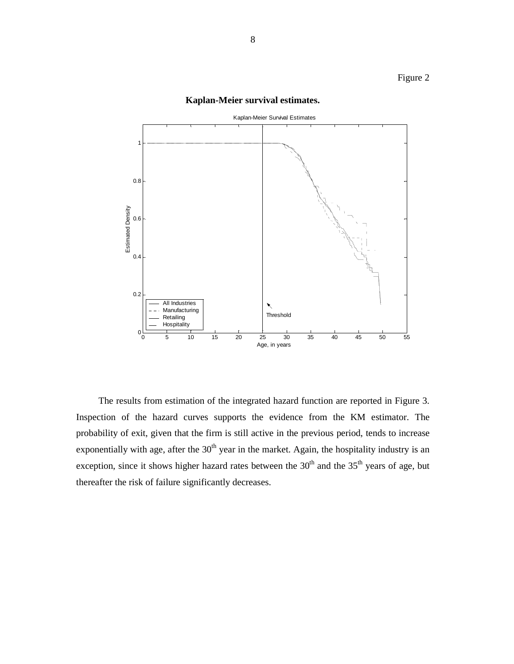

# **Kaplan-Meier survival estimates.**

The results from estimation of the integrated hazard function are reported in Figure 3. Inspection of the hazard curves supports the evidence from the KM estimator. The probability of exit, given that the firm is still active in the previous period, tends to increase exponentially with age, after the  $30<sup>th</sup>$  year in the market. Again, the hospitality industry is an exception, since it shows higher hazard rates between the  $30<sup>th</sup>$  and the  $35<sup>th</sup>$  years of age, but thereafter the risk of failure significantly decreases.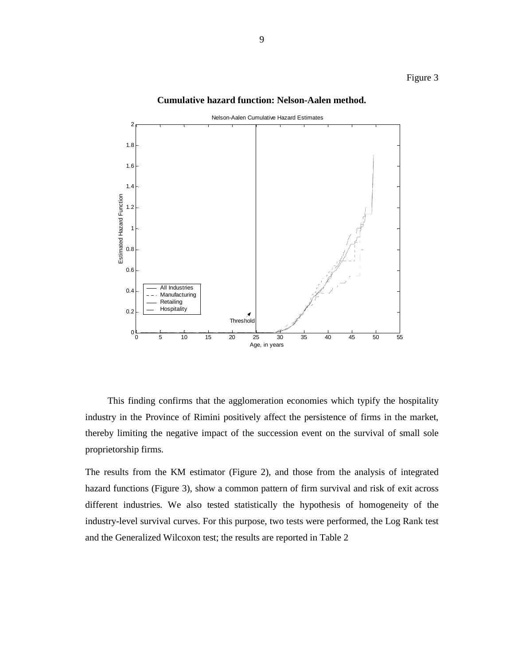# Figure 3

#### **Cumulative hazard function: Nelson-Aalen method.**



This finding confirms that the agglomeration economies which typify the hospitality industry in the Province of Rimini positively affect the persistence of firms in the market, thereby limiting the negative impact of the succession event on the survival of small sole proprietorship firms.

The results from the KM estimator (Figure 2), and those from the analysis of integrated hazard functions (Figure 3), show a common pattern of firm survival and risk of exit across different industries. We also tested statistically the hypothesis of homogeneity of the industry-level survival curves. For this purpose, two tests were performed, the Log Rank test and the Generalized Wilcoxon test; the results are reported in Table 2

9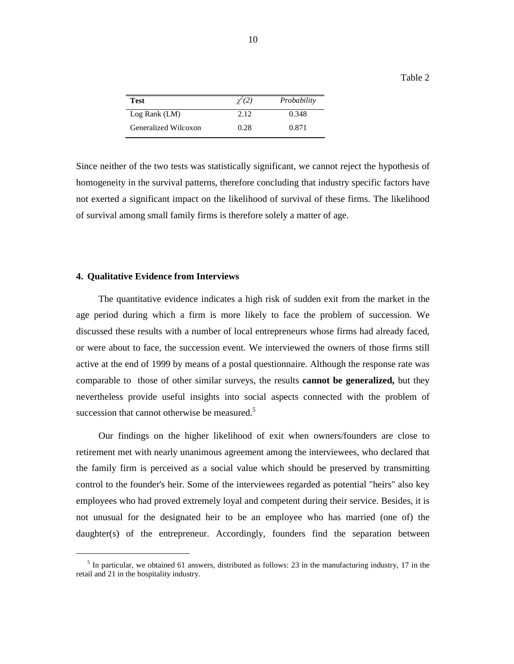| Test                 | $\chi^2(2)$ | Probability |
|----------------------|-------------|-------------|
| Log Rank (LM)        | 2.12        | 0.348       |
| Generalized Wilcoxon | 0.28        | 0.871       |

Since neither of the two tests was statistically significant, we cannot reject the hypothesis of homogeneity in the survival patterns, therefore concluding that industry specific factors have not exerted a significant impact on the likelihood of survival of these firms. The likelihood of survival among small family firms is therefore solely a matter of age.

## **4. Qualitative Evidence from Interviews**

 $\overline{a}$ 

The quantitative evidence indicates a high risk of sudden exit from the market in the age period during which a firm is more likely to face the problem of succession. We discussed these results with a number of local entrepreneurs whose firms had already faced, or were about to face, the succession event. We interviewed the owners of those firms still active at the end of 1999 by means of a postal questionnaire. Although the response rate was comparable to those of other similar surveys, the results **cannot be generalized,** but they nevertheless provide useful insights into social aspects connected with the problem of succession that cannot otherwise be measured.<sup>5</sup>

Our findings on the higher likelihood of exit when owners/founders are close to retirement met with nearly unanimous agreement among the interviewees, who declared that the family firm is perceived as a social value which should be preserved by transmitting control to the founder's heir. Some of the interviewees regarded as potential "heirs" also key employees who had proved extremely loyal and competent during their service. Besides, it is not unusual for the designated heir to be an employee who has married (one of) the daughter(s) of the entrepreneur. Accordingly, founders find the separation between

Table 2

<sup>&</sup>lt;sup>5</sup> In particular, we obtained 61 answers, distributed as follows: 23 in the manufacturing industry, 17 in the retail and 21 in the hospitality industry.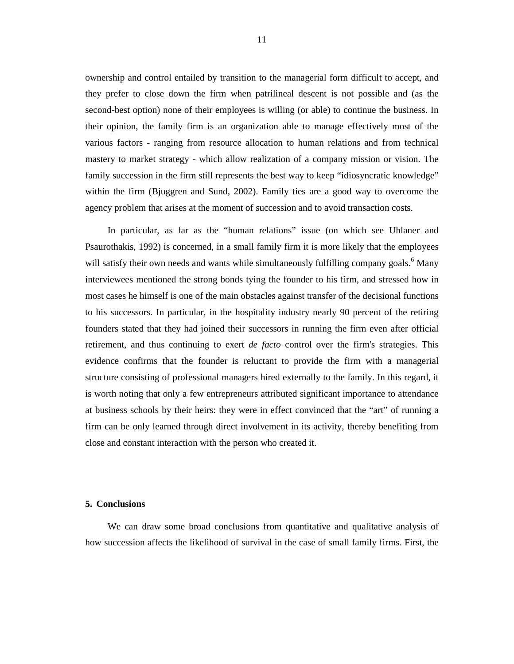ownership and control entailed by transition to the managerial form difficult to accept, and they prefer to close down the firm when patrilineal descent is not possible and (as the second-best option) none of their employees is willing (or able) to continue the business. In their opinion, the family firm is an organization able to manage effectively most of the various factors - ranging from resource allocation to human relations and from technical mastery to market strategy - which allow realization of a company mission or vision. The family succession in the firm still represents the best way to keep "idiosyncratic knowledge" within the firm (Bjuggren and Sund, 2002). Family ties are a good way to overcome the agency problem that arises at the moment of succession and to avoid transaction costs.

In particular, as far as the "human relations" issue (on which see Uhlaner and Psaurothakis, 1992) is concerned, in a small family firm it is more likely that the employees will satisfy their own needs and wants while simultaneously fulfilling company goals.<sup>6</sup> Many interviewees mentioned the strong bonds tying the founder to his firm, and stressed how in most cases he himself is one of the main obstacles against transfer of the decisional functions to his successors. In particular, in the hospitality industry nearly 90 percent of the retiring founders stated that they had joined their successors in running the firm even after official retirement, and thus continuing to exert *de facto* control over the firm's strategies. This evidence confirms that the founder is reluctant to provide the firm with a managerial structure consisting of professional managers hired externally to the family. In this regard, it is worth noting that only a few entrepreneurs attributed significant importance to attendance at business schools by their heirs: they were in effect convinced that the "art" of running a firm can be only learned through direct involvement in its activity, thereby benefiting from close and constant interaction with the person who created it.

## **5. Conclusions**

We can draw some broad conclusions from quantitative and qualitative analysis of how succession affects the likelihood of survival in the case of small family firms. First, the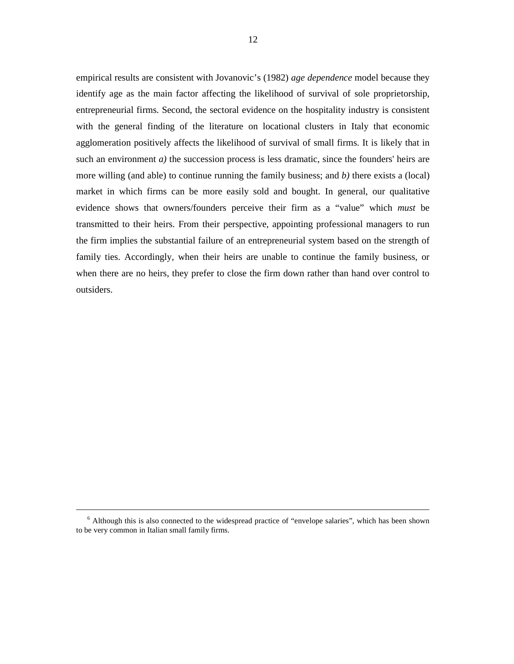empirical results are consistent with Jovanovic's (1982) *age dependence* model because they identify age as the main factor affecting the likelihood of survival of sole proprietorship, entrepreneurial firms. Second, the sectoral evidence on the hospitality industry is consistent with the general finding of the literature on locational clusters in Italy that economic agglomeration positively affects the likelihood of survival of small firms. It is likely that in such an environment  $a$ ) the succession process is less dramatic, since the founders' heirs are more willing (and able) to continue running the family business; and *b)* there exists a (local) market in which firms can be more easily sold and bought. In general, our qualitative evidence shows that owners/founders perceive their firm as a "value" which *must* be transmitted to their heirs. From their perspective, appointing professional managers to run the firm implies the substantial failure of an entrepreneurial system based on the strength of family ties. Accordingly, when their heirs are unable to continue the family business, or when there are no heirs, they prefer to close the firm down rather than hand over control to outsiders.

 $\overline{a}$ 

<sup>&</sup>lt;sup>6</sup> Although this is also connected to the widespread practice of "envelope salaries", which has been shown to be very common in Italian small family firms.